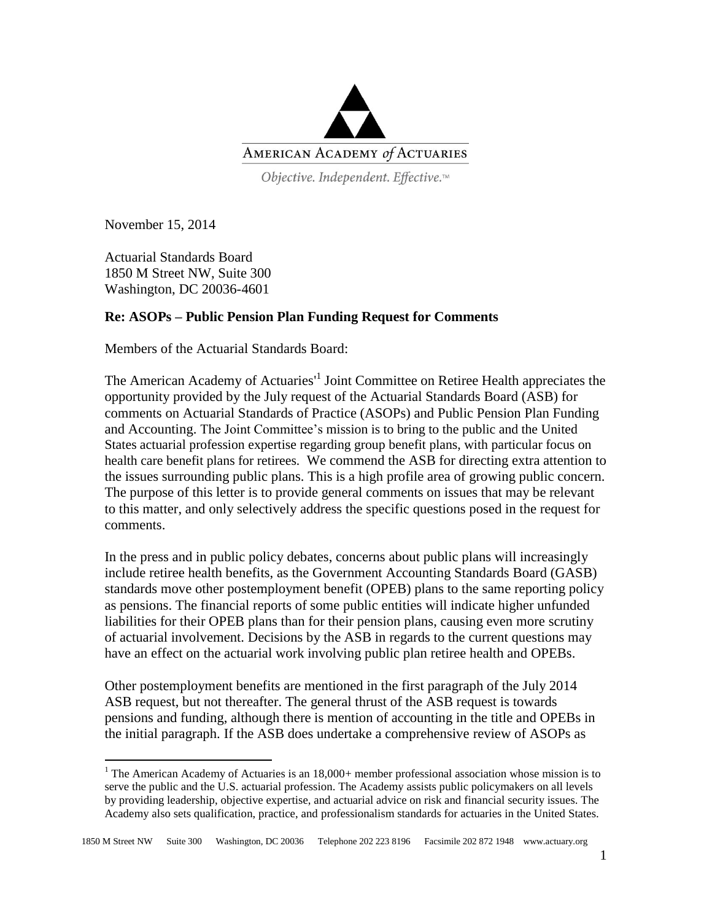

Objective. Independent. Effective.™

November 15, 2014

 $\overline{a}$ 

Actuarial Standards Board 1850 M Street NW, Suite 300 Washington, DC 20036-4601

## **Re: ASOPs – Public Pension Plan Funding Request for Comments**

Members of the Actuarial Standards Board:

The American Academy of Actuaries<sup>1</sup> Joint Committee on Retiree Health appreciates the opportunity provided by the July request of the Actuarial Standards Board (ASB) for comments on Actuarial Standards of Practice (ASOPs) and Public Pension Plan Funding and Accounting. The Joint Committee's mission is to bring to the public and the United States actuarial profession expertise regarding group benefit plans, with particular focus on health care benefit plans for retirees. We commend the ASB for directing extra attention to the issues surrounding public plans. This is a high profile area of growing public concern. The purpose of this letter is to provide general comments on issues that may be relevant to this matter, and only selectively address the specific questions posed in the request for comments.

In the press and in public policy debates, concerns about public plans will increasingly include retiree health benefits, as the Government Accounting Standards Board (GASB) standards move other postemployment benefit (OPEB) plans to the same reporting policy as pensions. The financial reports of some public entities will indicate higher unfunded liabilities for their OPEB plans than for their pension plans, causing even more scrutiny of actuarial involvement. Decisions by the ASB in regards to the current questions may have an effect on the actuarial work involving public plan retiree health and OPEBs.

Other postemployment benefits are mentioned in the first paragraph of the July 2014 ASB request, but not thereafter. The general thrust of the ASB request is towards pensions and funding, although there is mention of accounting in the title and OPEBs in the initial paragraph. If the ASB does undertake a comprehensive review of ASOPs as

 $1$  The American Academy of Actuaries is an  $18,000+$  member professional association whose mission is to serve the public and the U.S. actuarial profession. The Academy assists public policymakers on all levels by providing leadership, objective expertise, and actuarial advice on risk and financial security issues. The Academy also sets qualification, practice, and professionalism standards for actuaries in the United States.